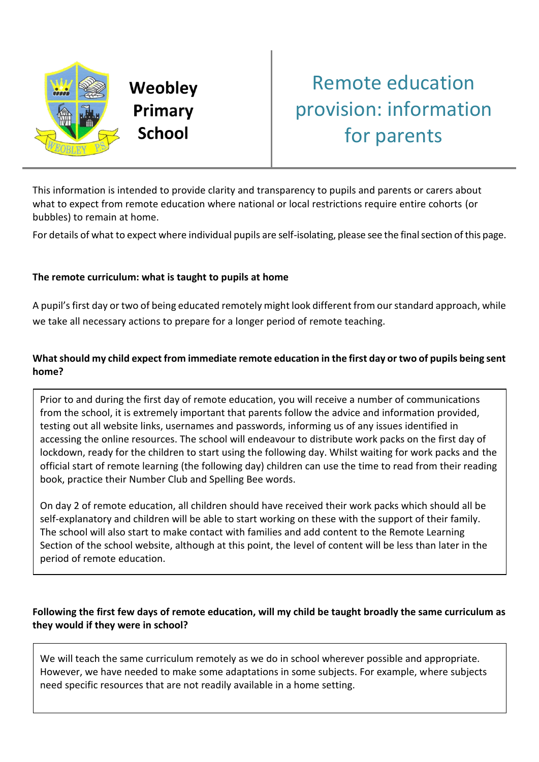

Weobley Primary **School** 

# Remote education provision: information for parents

This information is intended to provide clarity and transparency to pupils and parents or carers about what to expect from remote education where national or local restrictions require entire cohorts (or bubbles) to remain at home.

For details of what to expect where individual pupils are self-isolating, please see the final section of this page.

# **The remote curriculum: what is taught to pupils at home**

A pupil's first day or two of being educated remotely might look different from our standard approach, while we take all necessary actions to prepare for a longer period of remote teaching.

# **What should my child expect from immediate remote education in the first day or two of pupils being sent home?**

Prior to and during the first day of remote education, you will receive a number of communications from the school, it is extremely important that parents follow the advice and information provided, testing out all website links, usernames and passwords, informing us of any issues identified in accessing the online resources. The school will endeavour to distribute work packs on the first day of lockdown, ready for the children to start using the following day. Whilst waiting for work packs and the official start of remote learning (the following day) children can use the time to read from their reading book, practice their Number Club and Spelling Bee words.

On day 2 of remote education, all children should have received their work packs which should all be self-explanatory and children will be able to start working on these with the support of their family. The school will also start to make contact with families and add content to the Remote Learning Section of the school website, although at this point, the level of content will be less than later in the period of remote education.

# **Following the first few days of remote education, will my child be taught broadly the same curriculum as they would if they were in school?**

We will teach the same curriculum remotely as we do in school wherever possible and appropriate. However, we have needed to make some adaptations in some subjects. For example, where subjects need specific resources that are not readily available in a home setting.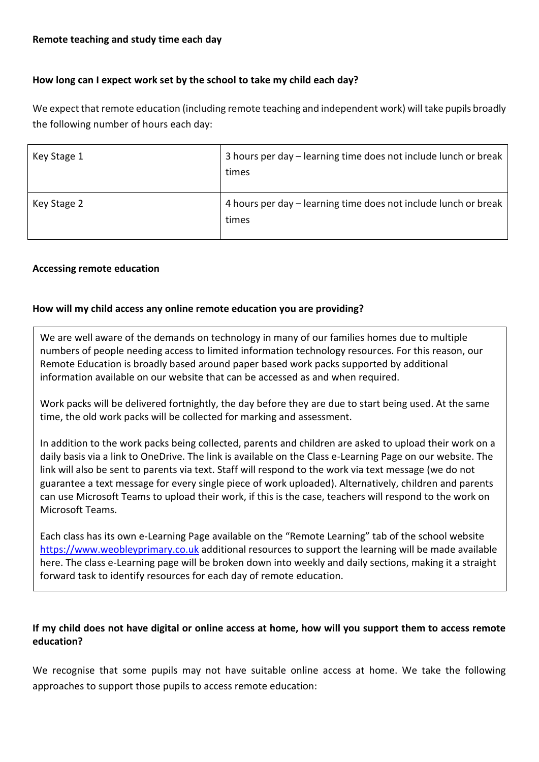## **How long can I expect work set by the school to take my child each day?**

We expect that remote education (including remote teaching and independent work) will take pupils broadly the following number of hours each day:

| Key Stage 1 | 3 hours per day – learning time does not include lunch or break<br>times |
|-------------|--------------------------------------------------------------------------|
| Key Stage 2 | 4 hours per day - learning time does not include lunch or break<br>times |

#### **Accessing remote education**

#### **How will my child access any online remote education you are providing?**

We are well aware of the demands on technology in many of our families homes due to multiple numbers of people needing access to limited information technology resources. For this reason, our Remote Education is broadly based around paper based work packs supported by additional information available on our website that can be accessed as and when required.

Work packs will be delivered fortnightly, the day before they are due to start being used. At the same time, the old work packs will be collected for marking and assessment.

In addition to the work packs being collected, parents and children are asked to upload their work on a daily basis via a link to OneDrive. The link is available on the Class e-Learning Page on our website. The link will also be sent to parents via text. Staff will respond to the work via text message (we do not guarantee a text message for every single piece of work uploaded). Alternatively, children and parents can use Microsoft Teams to upload their work, if this is the case, teachers will respond to the work on Microsoft Teams.

Each class has its own e-Learning Page available on the "Remote Learning" tab of the school website [https://www.weobleyprimary.co.uk](https://www.weobleyprimary.co.uk/) additional resources to support the learning will be made available here. The class e-Learning page will be broken down into weekly and daily sections, making it a straight forward task to identify resources for each day of remote education.

## **If my child does not have digital or online access at home, how will you support them to access remote education?**

We recognise that some pupils may not have suitable online access at home. We take the following approaches to support those pupils to access remote education: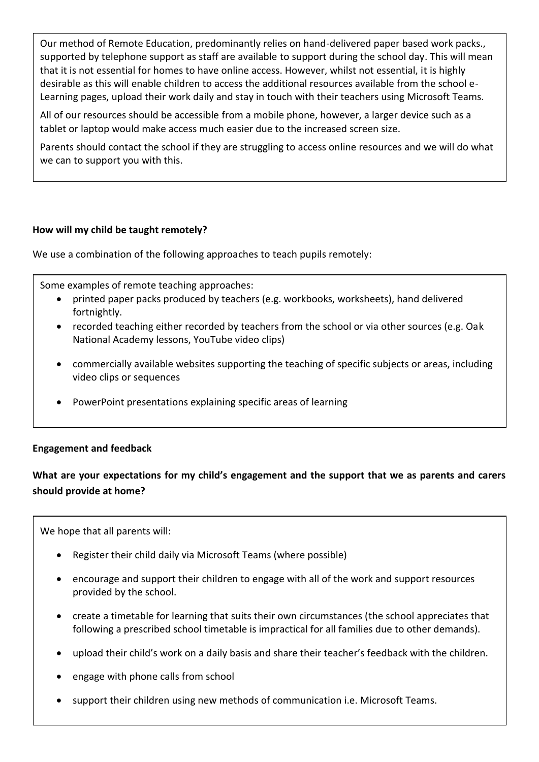Our method of Remote Education, predominantly relies on hand-delivered paper based work packs., supported by telephone support as staff are available to support during the school day. This will mean that it is not essential for homes to have online access. However, whilst not essential, it is highly desirable as this will enable children to access the additional resources available from the school e-Learning pages, upload their work daily and stay in touch with their teachers using Microsoft Teams.

All of our resources should be accessible from a mobile phone, however, a larger device such as a tablet or laptop would make access much easier due to the increased screen size.

Parents should contact the school if they are struggling to access online resources and we will do what we can to support you with this.

#### **How will my child be taught remotely?**

We use a combination of the following approaches to teach pupils remotely:

Some examples of remote teaching approaches:

- printed paper packs produced by teachers (e.g. workbooks, worksheets), hand delivered fortnightly.
- recorded teaching either recorded by teachers from the school or via other sources (e.g. Oak National Academy lessons, YouTube video clips)
- commercially available websites supporting the teaching of specific subjects or areas, including video clips or sequences
- PowerPoint presentations explaining specific areas of learning

#### **Engagement and feedback**

# **What are your expectations for my child's engagement and the support that we as parents and carers should provide at home?**

We hope that all parents will:

- Register their child daily via Microsoft Teams (where possible)
- encourage and support their children to engage with all of the work and support resources provided by the school.
- create a timetable for learning that suits their own circumstances (the school appreciates that following a prescribed school timetable is impractical for all families due to other demands).
- upload their child's work on a daily basis and share their teacher's feedback with the children.
- engage with phone calls from school
- support their children using new methods of communication i.e. Microsoft Teams.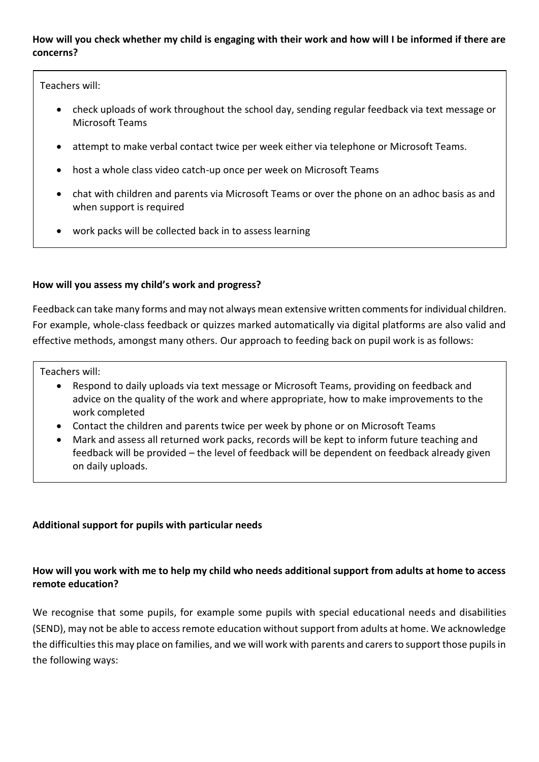#### **How will you check whether my child is engaging with their work and how will I be informed if there are concerns?**

Teachers will:

- check uploads of work throughout the school day, sending regular feedback via text message or Microsoft Teams
- attempt to make verbal contact twice per week either via telephone or Microsoft Teams.
- host a whole class video catch-up once per week on Microsoft Teams
- chat with children and parents via Microsoft Teams or over the phone on an adhoc basis as and when support is required
- work packs will be collected back in to assess learning

## **How will you assess my child's work and progress?**

Feedback can take many forms and may not always mean extensive written comments for individual children. For example, whole-class feedback or quizzes marked automatically via digital platforms are also valid and effective methods, amongst many others. Our approach to feeding back on pupil work is as follows:

Teachers will:

- Respond to daily uploads via text message or Microsoft Teams, providing on feedback and advice on the quality of the work and where appropriate, how to make improvements to the work completed
- Contact the children and parents twice per week by phone or on Microsoft Teams
- Mark and assess all returned work packs, records will be kept to inform future teaching and feedback will be provided – the level of feedback will be dependent on feedback already given on daily uploads.

#### **Additional support for pupils with particular needs**

## **How will you work with me to help my child who needs additional support from adults at home to access remote education?**

We recognise that some pupils, for example some pupils with special educational needs and disabilities (SEND), may not be able to access remote education without support from adults at home. We acknowledge the difficulties this may place on families, and we will work with parents and carers to support those pupils in the following ways: